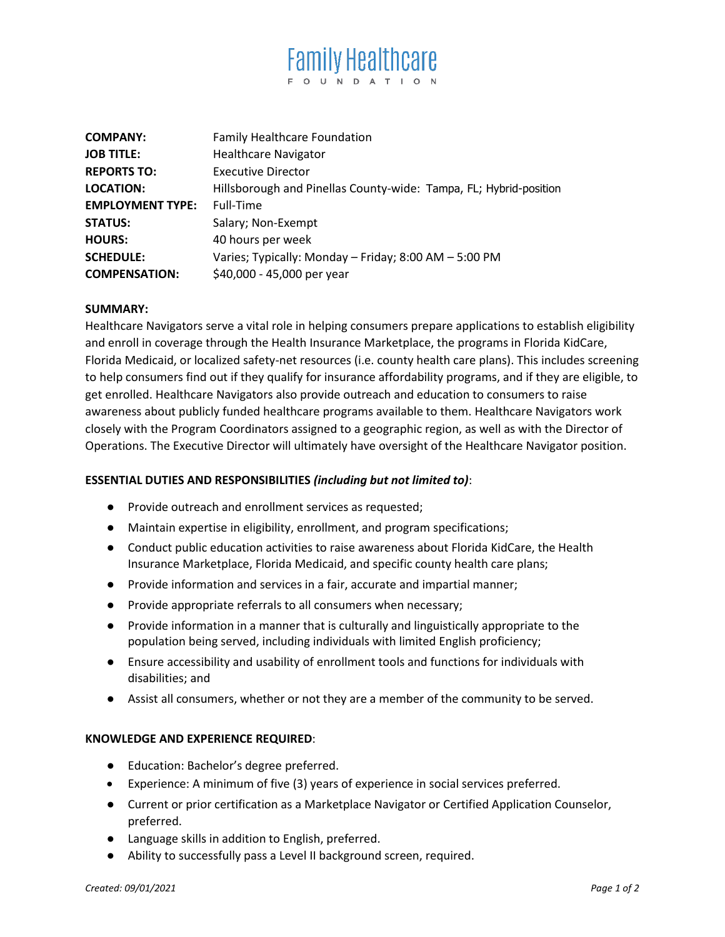# **Family Healthcare** O U N D A T I O N

| <b>COMPANY:</b>         | <b>Family Healthcare Foundation</b>                               |
|-------------------------|-------------------------------------------------------------------|
| <b>JOB TITLE:</b>       | <b>Healthcare Navigator</b>                                       |
| <b>REPORTS TO:</b>      | <b>Executive Director</b>                                         |
| <b>LOCATION:</b>        | Hillsborough and Pinellas County-wide: Tampa, FL; Hybrid-position |
| <b>EMPLOYMENT TYPE:</b> | Full-Time                                                         |
| <b>STATUS:</b>          | Salary; Non-Exempt                                                |
| <b>HOURS:</b>           | 40 hours per week                                                 |
| <b>SCHEDULE:</b>        | Varies; Typically: Monday - Friday; 8:00 AM - 5:00 PM             |
| <b>COMPENSATION:</b>    | \$40,000 - 45,000 per year                                        |

#### **SUMMARY:**

Healthcare Navigators serve a vital role in helping consumers prepare applications to establish eligibility and enroll in coverage through the Health Insurance Marketplace, the programs in Florida KidCare, Florida Medicaid, or localized safety-net resources (i.e. county health care plans). This includes screening to help consumers find out if they qualify for insurance affordability programs, and if they are eligible, to get enrolled. Healthcare Navigators also provide outreach and education to consumers to raise awareness about publicly funded healthcare programs available to them. Healthcare Navigators work closely with the Program Coordinators assigned to a geographic region, as well as with the Director of Operations. The Executive Director will ultimately have oversight of the Healthcare Navigator position.

## **ESSENTIAL DUTIES AND RESPONSIBILITIES** *(including but not limited to)*:

- Provide outreach and enrollment services as requested;
- Maintain expertise in eligibility, enrollment, and program specifications;
- Conduct public education activities to raise awareness about Florida KidCare, the Health Insurance Marketplace, Florida Medicaid, and specific county health care plans;
- Provide information and services in a fair, accurate and impartial manner;
- Provide appropriate referrals to all consumers when necessary;
- Provide information in a manner that is culturally and linguistically appropriate to the population being served, including individuals with limited English proficiency;
- Ensure accessibility and usability of enrollment tools and functions for individuals with disabilities; and
- Assist all consumers, whether or not they are a member of the community to be served.

#### **KNOWLEDGE AND EXPERIENCE REQUIRED**:

- Education: Bachelor's degree preferred.
- Experience: A minimum of five (3) years of experience in social services preferred.
- Current or prior certification as a Marketplace Navigator or Certified Application Counselor, preferred.
- Language skills in addition to English, preferred.
- Ability to successfully pass a Level II background screen, required.